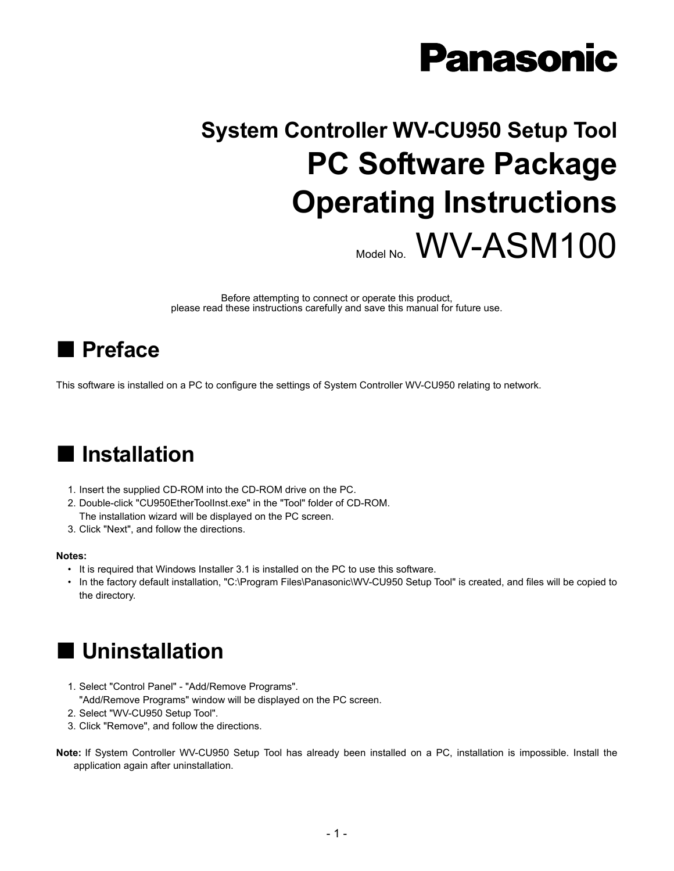# **Panasonic**

# **System Controller WV-CU950 Setup Tool PC Software Package Operating Instructions** Model No. WV-ASM100

Before attempting to connect or operate this product, please read these instructions carefully and save this manual for future use.

## **Preface**

This software is installed on a PC to configure the settings of System Controller WV-CU950 relating to network.

## **Installation**

- 1. Insert the supplied CD-ROM into the CD-ROM drive on the PC.
- 2. Double-click "CU950EtherToolInst.exe" in the "Tool" folder of CD-ROM. The installation wizard will be displayed on the PC screen.
- 3. Click "Next", and follow the directions.

#### **Notes:**

- It is required that Windows Installer 3.1 is installed on the PC to use this software.
- In the factory default installation, "C:\Program Files\Panasonic\WV-CU950 Setup Tool" is created, and files will be copied to the directory.

### **Uninstallation**

- 1. Select "Control Panel" "Add/Remove Programs". "Add/Remove Programs" window will be displayed on the PC screen.
- 2. Select "WV-CU950 Setup Tool".
- 3. Click "Remove", and follow the directions.
- **Note:** If System Controller WV-CU950 Setup Tool has already been installed on a PC, installation is impossible. Install the application again after uninstallation.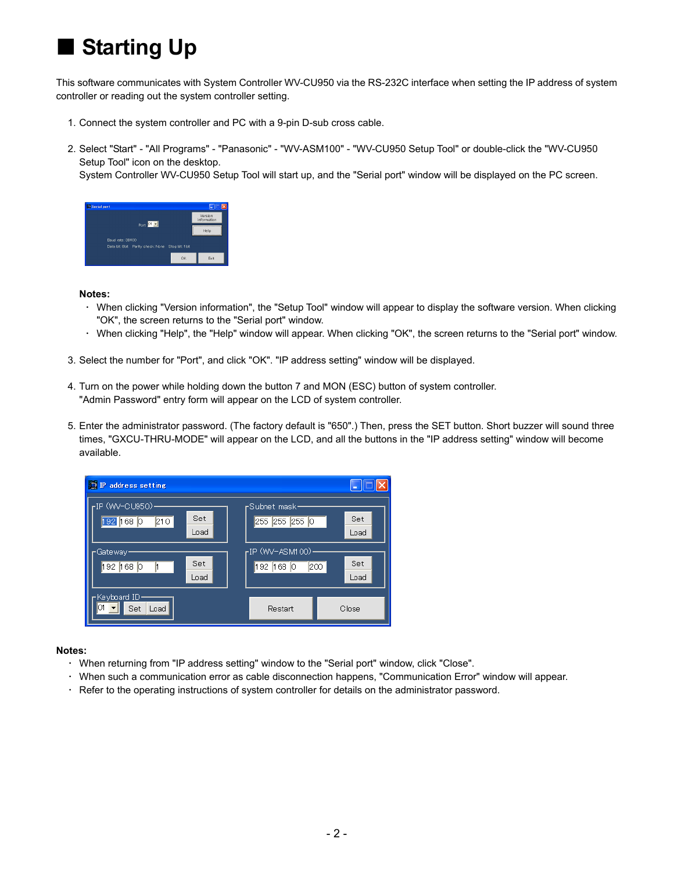## **Starting Up**

This software communicates with System Controller WV-CU950 via the RS-232C interface when setting the IP address of system controller or reading out the system controller setting.

- 1. Connect the system controller and PC with a 9-pin D-sub cross cable.
- 2. Select "Start" "All Programs" "Panasonic" "WV-ASM100" "WV-CU950 Setup Tool" or double-click the "WV-CU950 Setup Tool" icon on the desktop.

System Controller WV-CU950 Setup Tool will start up, and the "Serial port" window will be displayed on the PC screen.



#### **Notes:**

- ・ When clicking "Version information", the "Setup Tool" window will appear to display the software version. When clicking "OK", the screen returns to the "Serial port" window.
- ・ When clicking "Help", the "Help" window will appear. When clicking "OK", the screen returns to the "Serial port" window.
- 3. Select the number for "Port", and click "OK". "IP address setting" window will be displayed.
- 4. Turn on the power while holding down the button 7 and MON (ESC) button of system controller. "Admin Password" entry form will appear on the LCD of system controller.
- 5. Enter the administrator password. (The factory default is "650".) Then, press the SET button. Short buzzer will sound three times, "GXCU-THRU-MODE" will appear on the LCD, and all the buttons in the "IP address setting" window will become available.



### **Notes:**

- ・ When returning from "IP address setting" window to the "Serial port" window, click "Close".
- ・ When such a communication error as cable disconnection happens, "Communication Error" window will appear.
- ・ Refer to the operating instructions of system controller for details on the administrator password.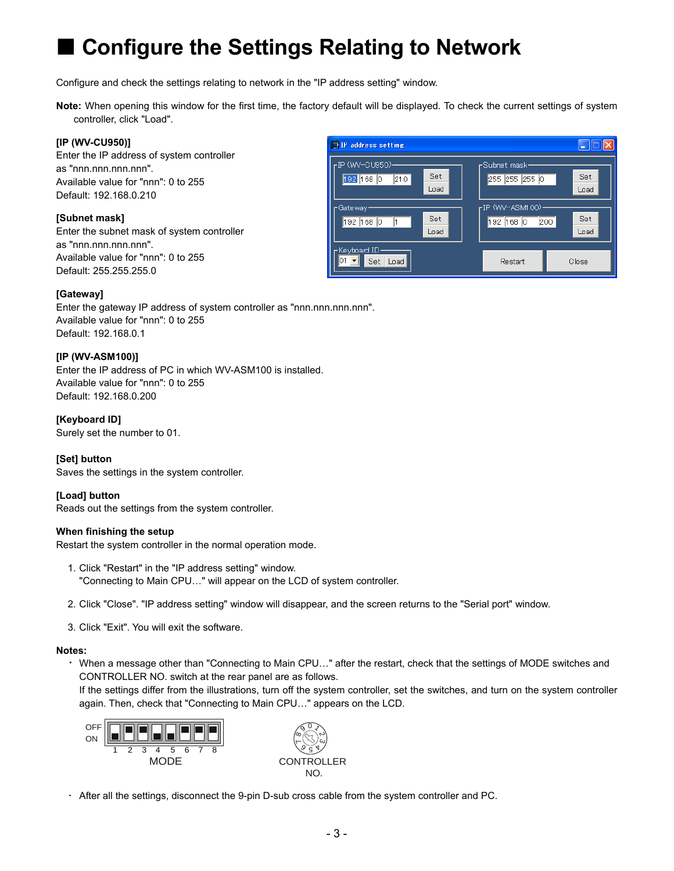## **Configure the Settings Relating to Network**

Configure and check the settings relating to network in the "IP address setting" window.

**Note:** When opening this window for the first time, the factory default will be displayed. To check the current settings of system controller, click "Load".

### **[IP (WV-CU950)]**

Enter the IP address of system controller as "nnn.nnn.nnn.nnn". Available value for "nnn": 0 to 255 Default: 192.168.0.210

### **[Subnet mask]**

Enter the subnet mask of system controller as "nnn.nnn.nnn.nnn". Available value for "nnn": 0 to 255 Default: 255.255.255.0

#### <sup>1</sup> IP address setting Elo IP (WV-CU950)-Subnet mask-Set Set 192 168 0 210 255 255 255 0 Load Load -IP (WV-ASM100)-Gateway-Set Set 192 168 0  $\vert$ 1  $192$   $168$   $\boxed{0}$   $200$ Load Load Keyboard ID- $\mathbf{0}1$   $\mathbf{I}$ Set Load Restart Close

### **[Gateway]**

Enter the gateway IP address of system controller as "nnn.nnn.nnn.nnn". Available value for "nnn": 0 to 255 Default: 192.168.0.1

### **[IP (WV-ASM100)]**

Enter the IP address of PC in which WV-ASM100 is installed. Available value for "nnn": 0 to 255 Default: 192.168.0.200

**[Keyboard ID]**  Surely set the number to 01.

#### **[Set] button**

Saves the settings in the system controller.

#### **[Load] button**

Reads out the settings from the system controller.

#### **When finishing the setup**

Restart the system controller in the normal operation mode.

- 1. Click "Restart" in the "IP address setting" window. "Connecting to Main CPU…" will appear on the LCD of system controller.
- 2. Click "Close". "IP address setting" window will disappear, and the screen returns to the "Serial port" window.
- 3. Click "Exit". You will exit the software.

#### **Notes:**

・ When a message other than "Connecting to Main CPU…" after the restart, check that the settings of MODE switches and CONTROLLER NO. switch at the rear panel are as follows.

 If the settings differ from the illustrations, turn off the system controller, set the switches, and turn on the system controller again. Then, check that "Connecting to Main CPU…" appears on the LCD.



・ After all the settings, disconnect the 9-pin D-sub cross cable from the system controller and PC.